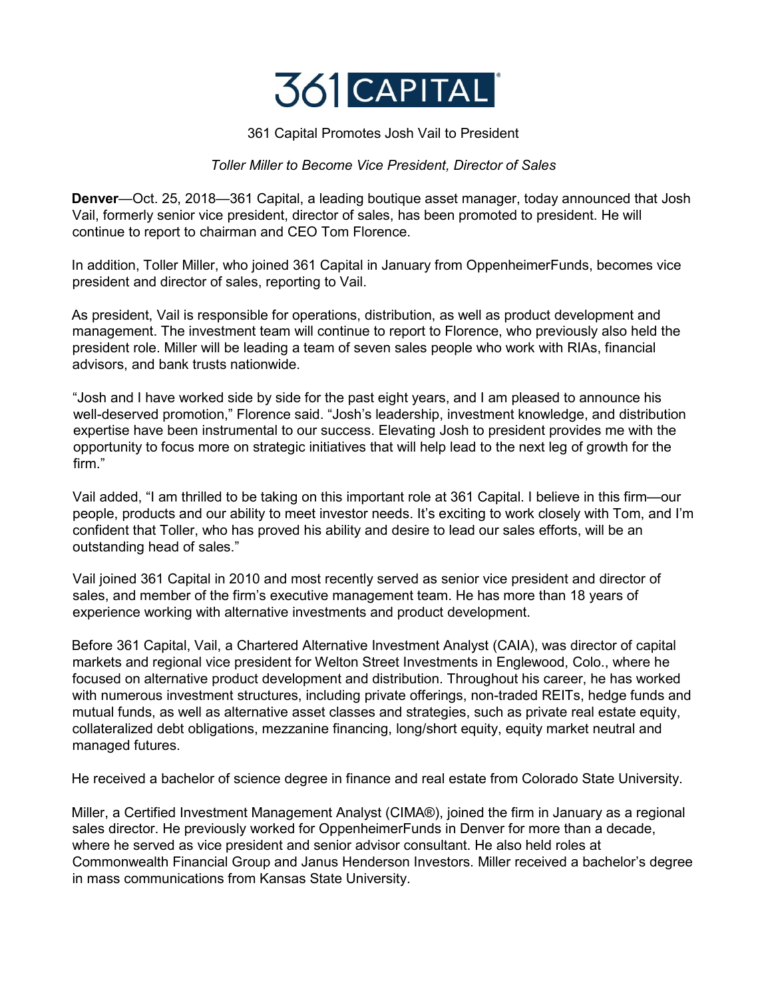

## 361 Capital Promotes Josh Vail to President

## *Toller Miller to Become Vice President, Director of Sales*

**Denver**—Oct. 25, 2018—361 Capital, a leading boutique asset manager, today announced that Josh Vail, formerly senior vice president, director of sales, has been promoted to president. He will continue to report to chairman and CEO Tom Florence.

In addition, Toller Miller, who joined 361 Capital in January from OppenheimerFunds, becomes vice president and director of sales, reporting to Vail.

As president, Vail is responsible for operations, distribution, as well as product development and management. The investment team will continue to report to Florence, who previously also held the president role. Miller will be leading a team of seven sales people who work with RIAs, financial advisors, and bank trusts nationwide.

"Josh and I have worked side by side for the past eight years, and I am pleased to announce his well-deserved promotion," Florence said. "Josh's leadership, investment knowledge, and distribution expertise have been instrumental to our success. Elevating Josh to president provides me with the opportunity to focus more on strategic initiatives that will help lead to the next leg of growth for the firm"

Vail added, "I am thrilled to be taking on this important role at 361 Capital. I believe in this firm—our people, products and our ability to meet investor needs. It's exciting to work closely with Tom, and I'm confident that Toller, who has proved his ability and desire to lead our sales efforts, will be an outstanding head of sales."

Vail joined 361 Capital in 2010 and most recently served as senior vice president and director of sales, and member of the firm's executive management team. He has more than 18 years of experience working with alternative investments and product development.

Before 361 Capital, Vail, a Chartered Alternative Investment Analyst (CAIA), was director of capital markets and regional vice president for Welton Street Investments in Englewood, Colo., where he focused on alternative product development and distribution. Throughout his career, he has worked with numerous investment structures, including private offerings, non-traded REITs, hedge funds and mutual funds, as well as alternative asset classes and strategies, such as private real estate equity, collateralized debt obligations, mezzanine financing, long/short equity, equity market neutral and managed futures.

He received a bachelor of science degree in finance and real estate from Colorado State University.

Miller, a Certified Investment Management Analyst (CIMA®), joined the firm in January as a regional sales director. He previously worked for OppenheimerFunds in Denver for more than a decade, where he served as vice president and senior advisor consultant. He also held roles at Commonwealth Financial Group and Janus Henderson Investors. Miller received a bachelor's degree in mass communications from Kansas State University.